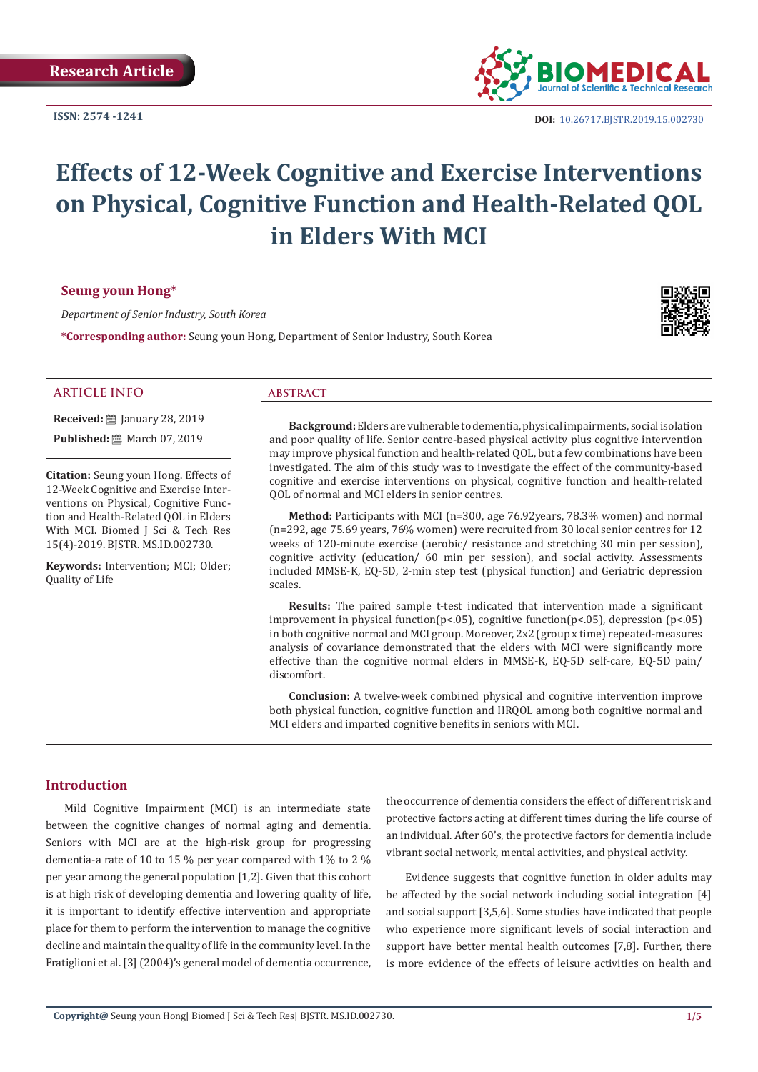**ISSN: 2574 -1241**



**DOI:** [10.26717.BJSTR.2019.15.0027](http://dx.doi.org/10.26717/BJSTR.2019.15.002730)30

# **Effects of 12-Week Cognitive and Exercise Interventions on Physical, Cognitive Function and Health-Related QOL in Elders With MCI**

# **Seung youn Hong\***

*Department of Senior Industry, South Korea*

**\*Corresponding author:** Seung youn Hong, Department of Senior Industry, South Korea



# **ARTICLE INFO abstract**

**Received:** ■ January 28, 2019 **Published:** ■ March 07, 2019

**Citation:** Seung youn Hong. Effects of 12-Week Cognitive and Exercise Interventions on Physical, Cognitive Function and Health-Related QOL in Elders With MCI. Biomed J Sci & Tech Res 15(4)-2019. BJSTR. MS.ID.002730.

**Keywords:** Intervention; MCI; Older; Quality of Life

**Background:** Elders are vulnerable to dementia, physical impairments, social isolation and poor quality of life. Senior centre-based physical activity plus cognitive intervention may improve physical function and health-related QOL, but a few combinations have been investigated. The aim of this study was to investigate the effect of the community-based cognitive and exercise interventions on physical, cognitive function and health-related QOL of normal and MCI elders in senior centres.

**Method:** Participants with MCI (n=300, age 76.92years, 78.3% women) and normal (n=292, age 75.69 years, 76% women) were recruited from 30 local senior centres for 12 weeks of 120-minute exercise (aerobic/ resistance and stretching 30 min per session), cognitive activity (education/ 60 min per session), and social activity. Assessments included MMSE-K, EQ-5D, 2-min step test (physical function) and Geriatric depression scales.

**Results:** The paired sample t-test indicated that intervention made a significant improvement in physical function( $p$ <.05), cognitive function( $p$ <.05), depression ( $p$ <.05) in both cognitive normal and MCI group. Moreover, 2x2 (group x time) repeated-measures analysis of covariance demonstrated that the elders with MCI were significantly more effective than the cognitive normal elders in MMSE-K, EQ-5D self-care, EQ-5D pain/ discomfort.

**Conclusion:** A twelve-week combined physical and cognitive intervention improve both physical function, cognitive function and HRQOL among both cognitive normal and MCI elders and imparted cognitive benefits in seniors with MCI.

# **Introduction**

Mild Cognitive Impairment (MCI) is an intermediate state between the cognitive changes of normal aging and dementia. Seniors with MCI are at the high-risk group for progressing dementia-a rate of 10 to 15 % per year compared with 1% to 2 % per year among the general population [1,2]. Given that this cohort is at high risk of developing dementia and lowering quality of life, it is important to identify effective intervention and appropriate place for them to perform the intervention to manage the cognitive decline and maintain the quality of life in the community level. In the Fratiglioni et al. [3] (2004)'s general model of dementia occurrence, the occurrence of dementia considers the effect of different risk and protective factors acting at different times during the life course of an individual. After 60's, the protective factors for dementia include vibrant social network, mental activities, and physical activity.

Evidence suggests that cognitive function in older adults may be affected by the social network including social integration [4] and social support [3,5,6]. Some studies have indicated that people who experience more significant levels of social interaction and support have better mental health outcomes [7,8]. Further, there is more evidence of the effects of leisure activities on health and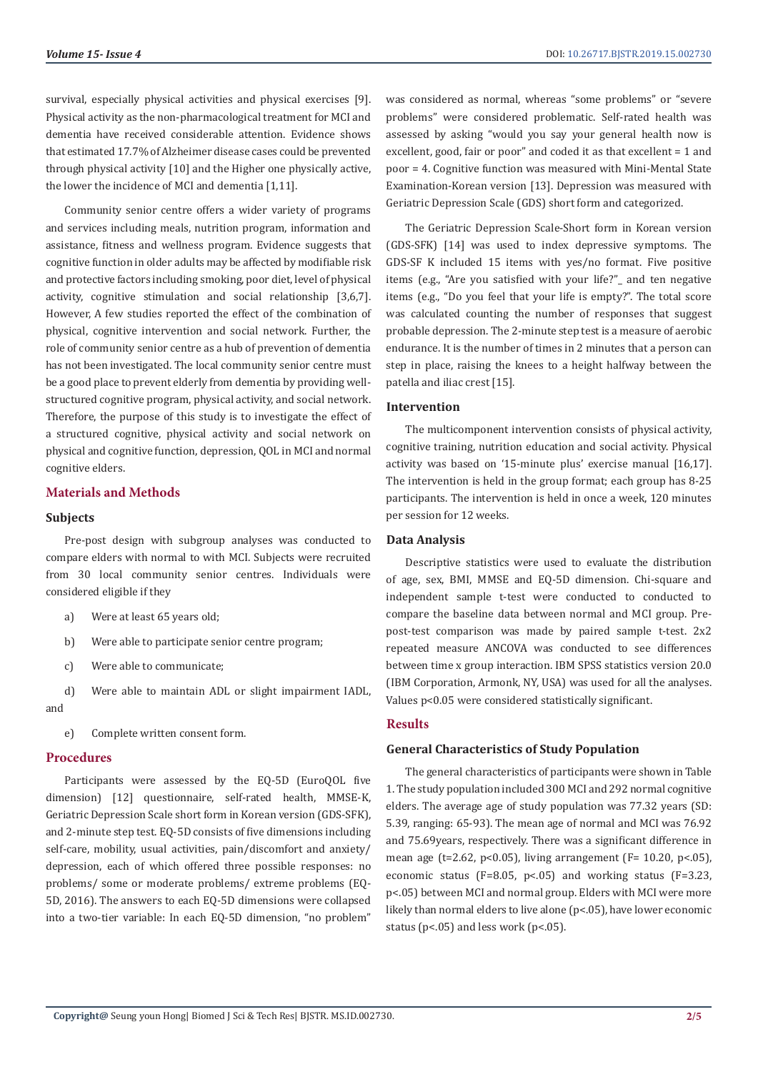survival, especially physical activities and physical exercises [9]. Physical activity as the non-pharmacological treatment for MCI and dementia have received considerable attention. Evidence shows that estimated 17.7% of Alzheimer disease cases could be prevented through physical activity [10] and the Higher one physically active, the lower the incidence of MCI and dementia [1,11].

Community senior centre offers a wider variety of programs and services including meals, nutrition program, information and assistance, fitness and wellness program. Evidence suggests that cognitive function in older adults may be affected by modifiable risk and protective factors including smoking, poor diet, level of physical activity, cognitive stimulation and social relationship [3,6,7]. However, A few studies reported the effect of the combination of physical, cognitive intervention and social network. Further, the role of community senior centre as a hub of prevention of dementia has not been investigated. The local community senior centre must be a good place to prevent elderly from dementia by providing wellstructured cognitive program, physical activity, and social network. Therefore, the purpose of this study is to investigate the effect of a structured cognitive, physical activity and social network on physical and cognitive function, depression, QOL in MCI and normal cognitive elders.

# **Materials and Methods**

### **Subjects**

Pre-post design with subgroup analyses was conducted to compare elders with normal to with MCI. Subjects were recruited from 30 local community senior centres. Individuals were considered eligible if they

- a) Were at least 65 years old;
- b) Were able to participate senior centre program;
- c) Were able to communicate;

d) Were able to maintain ADL or slight impairment IADL, and

e) Complete written consent form.

# **Procedures**

Participants were assessed by the EQ-5D (EuroQOL five dimension) [12] questionnaire, self-rated health, MMSE-K, Geriatric Depression Scale short form in Korean version (GDS-SFK), and 2-minute step test. EQ-5D consists of five dimensions including self-care, mobility, usual activities, pain/discomfort and anxiety/ depression, each of which offered three possible responses: no problems/ some or moderate problems/ extreme problems (EQ-5D, 2016). The answers to each EQ-5D dimensions were collapsed into a two-tier variable: In each EQ-5D dimension, "no problem"

was considered as normal, whereas "some problems" or "severe problems" were considered problematic. Self-rated health was assessed by asking "would you say your general health now is excellent, good, fair or poor" and coded it as that excellent = 1 and poor = 4. Cognitive function was measured with Mini-Mental State Examination-Korean version [13]. Depression was measured with Geriatric Depression Scale (GDS) short form and categorized.

The Geriatric Depression Scale-Short form in Korean version (GDS-SFK) [14] was used to index depressive symptoms. The GDS-SF K included 15 items with yes/no format. Five positive items (e.g., "Are you satisfied with your life?"\_ and ten negative items (e.g., "Do you feel that your life is empty?". The total score was calculated counting the number of responses that suggest probable depression. The 2-minute step test is a measure of aerobic endurance. It is the number of times in 2 minutes that a person can step in place, raising the knees to a height halfway between the patella and iliac crest [15].

# **Intervention**

The multicomponent intervention consists of physical activity, cognitive training, nutrition education and social activity. Physical activity was based on '15-minute plus' exercise manual [16,17]. The intervention is held in the group format; each group has 8-25 participants. The intervention is held in once a week, 120 minutes per session for 12 weeks.

# **Data Analysis**

Descriptive statistics were used to evaluate the distribution of age, sex, BMI, MMSE and EQ-5D dimension. Chi-square and independent sample t-test were conducted to conducted to compare the baseline data between normal and MCI group. Prepost-test comparison was made by paired sample t-test. 2x2 repeated measure ANCOVA was conducted to see differences between time x group interaction. IBM SPSS statistics version 20.0 (IBM Corporation, Armonk, NY, USA) was used for all the analyses. Values p<0.05 were considered statistically significant.

# **Results**

#### **General Characteristics of Study Population**

The general characteristics of participants were shown in Table 1. The study population included 300 MCI and 292 normal cognitive elders. The average age of study population was 77.32 years (SD: 5.39, ranging: 65-93). The mean age of normal and MCI was 76.92 and 75.69years, respectively. There was a significant difference in mean age (t=2.62, p<0.05), living arrangement ( $F = 10.20$ , p<.05), economic status (F=8.05,  $p<.05$ ) and working status (F=3.23, p<.05) between MCI and normal group. Elders with MCI were more likely than normal elders to live alone (p<.05), have lower economic status ( $p$ <.05) and less work ( $p$ <.05).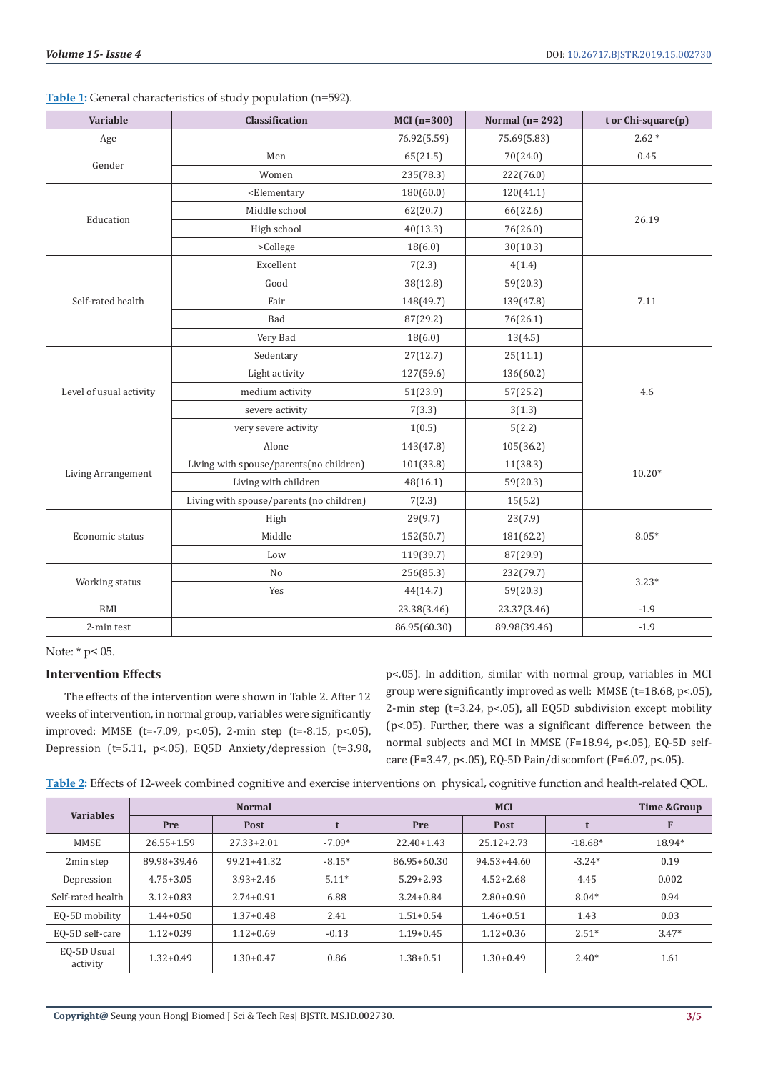**Table 1:** General characteristics of study population (n=592).

| Variable                | Classification                                                                 | $MCI(n=300)$ | Normal ( $n=292$ ) | t or Chi-square(p) |  |
|-------------------------|--------------------------------------------------------------------------------|--------------|--------------------|--------------------|--|
| Age                     |                                                                                | 76.92(5.59)  | 75.69(5.83)        | $2.62*$            |  |
| Gender                  | Men                                                                            | 65(21.5)     | 70(24.0)           | 0.45               |  |
|                         | Women                                                                          | 235(78.3)    | 222(76.0)          |                    |  |
|                         | <elementary< td=""><td>180(60.0)</td><td>120(41.1)</td><td></td></elementary<> | 180(60.0)    | 120(41.1)          |                    |  |
|                         | Middle school                                                                  | 62(20.7)     | 66(22.6)           | 26.19              |  |
| Education               | High school                                                                    | 40(13.3)     | 76(26.0)           |                    |  |
|                         | >College                                                                       | 18(6.0)      | 30(10.3)           |                    |  |
|                         | Excellent                                                                      | 7(2.3)       | 4(1.4)             |                    |  |
|                         | Good                                                                           | 38(12.8)     | 59(20.3)           |                    |  |
| Self-rated health       | Fair                                                                           | 148(49.7)    | 139(47.8)          | 7.11               |  |
|                         | Bad                                                                            | 87(29.2)     | 76(26.1)           |                    |  |
|                         | Very Bad                                                                       | 18(6.0)      | 13(4.5)            |                    |  |
| Level of usual activity | Sedentary                                                                      | 27(12.7)     | 25(11.1)           |                    |  |
|                         | Light activity                                                                 | 127(59.6)    | 136(60.2)          |                    |  |
|                         | medium activity                                                                | 51(23.9)     | 57(25.2)           | 4.6                |  |
|                         | severe activity                                                                | 7(3.3)       | 3(1.3)             |                    |  |
|                         | very severe activity                                                           | 1(0.5)       | 5(2.2)             |                    |  |
| Living Arrangement      | Alone                                                                          | 143(47.8)    | 105(36.2)          |                    |  |
|                         | Living with spouse/parents(no children)                                        | 101(33.8)    | 11(38.3)           | $10.20*$           |  |
|                         | Living with children                                                           | 48(16.1)     | 59(20.3)           |                    |  |
|                         | Living with spouse/parents (no children)                                       | 7(2.3)       | 15(5.2)            |                    |  |
| Economic status         | High                                                                           | 29(9.7)      | 23(7.9)            |                    |  |
|                         | Middle                                                                         | 152(50.7)    | 181(62.2)          | $8.05*$            |  |
|                         | Low                                                                            | 119(39.7)    | 87(29.9)           |                    |  |
|                         | No                                                                             | 256(85.3)    | 232(79.7)          | $3.23*$            |  |
| Working status          | Yes                                                                            | 44(14.7)     | 59(20.3)           |                    |  |
| BMI                     |                                                                                | 23.38(3.46)  | 23.37(3.46)        | $-1.9$             |  |
| 2-min test              |                                                                                | 86.95(60.30) | 89.98(39.46)       | $-1.9$             |  |

Note: \* p< 05.

# **Intervention Effects**

The effects of the intervention were shown in Table 2. After 12 weeks of intervention, in normal group, variables were significantly improved: MMSE (t=-7.09, p<.05), 2-min step (t=-8.15, p<.05), Depression (t=5.11, p<.05), EQ5D Anxiety/depression (t=3.98, p<.05). In addition, similar with normal group, variables in MCI group were significantly improved as well: MMSE (t=18.68, p<.05), 2-min step (t=3.24, p<.05), all EQ5D subdivision except mobility (p<.05). Further, there was a significant difference between the normal subjects and MCI in MMSE (F=18.94, p<.05), EQ-5D selfcare (F=3.47, p<.05), EQ-5D Pain/discomfort (F=6.07, p<.05).

| Table 2: Effects of 12-week combined cognitive and exercise interventions on physical, cognitive function and health-related QOL. |  |  |  |
|-----------------------------------------------------------------------------------------------------------------------------------|--|--|--|
|                                                                                                                                   |  |  |  |

| <b>Variables</b>        | <b>Normal</b>  |                |          | <b>MCI</b>     |                 |           | Time & Group |
|-------------------------|----------------|----------------|----------|----------------|-----------------|-----------|--------------|
|                         | Pre            | Post           |          | Pre            | Post            |           | F            |
| <b>MMSE</b>             | $26.55 + 1.59$ | $27.33 + 2.01$ | $-7.09*$ | $22.40 + 1.43$ | $25.12 + 2.73$  | $-18.68*$ | 18.94*       |
| 2min step               | 89.98+39.46    | 99.21+41.32    | $-8.15*$ | 86.95+60.30    | $94.53 + 44.60$ | $-3.24*$  | 0.19         |
| Depression              | $4.75 + 3.05$  | $3.93 + 2.46$  | $5.11*$  | $5.29 + 2.93$  | $4.52 + 2.68$   | 4.45      | 0.002        |
| Self-rated health       | $3.12 + 0.83$  | $2.74 + 0.91$  | 6.88     | $3.24 + 0.84$  | $2.80 + 0.90$   | $8.04*$   | 0.94         |
| EQ-5D mobility          | $1.44 + 0.50$  | $1.37 + 0.48$  | 2.41     | $1.51 + 0.54$  | $1.46 + 0.51$   | 1.43      | 0.03         |
| EQ-5D self-care         | $1.12 + 0.39$  | $1.12 + 0.69$  | $-0.13$  | $1.19 + 0.45$  | $1.12 + 0.36$   | $2.51*$   | $3.47*$      |
| EQ-5D Usual<br>activity | $1.32 + 0.49$  | $1.30 + 0.47$  | 0.86     | $1.38 + 0.51$  | $1.30 + 0.49$   | $2.40*$   | 1.61         |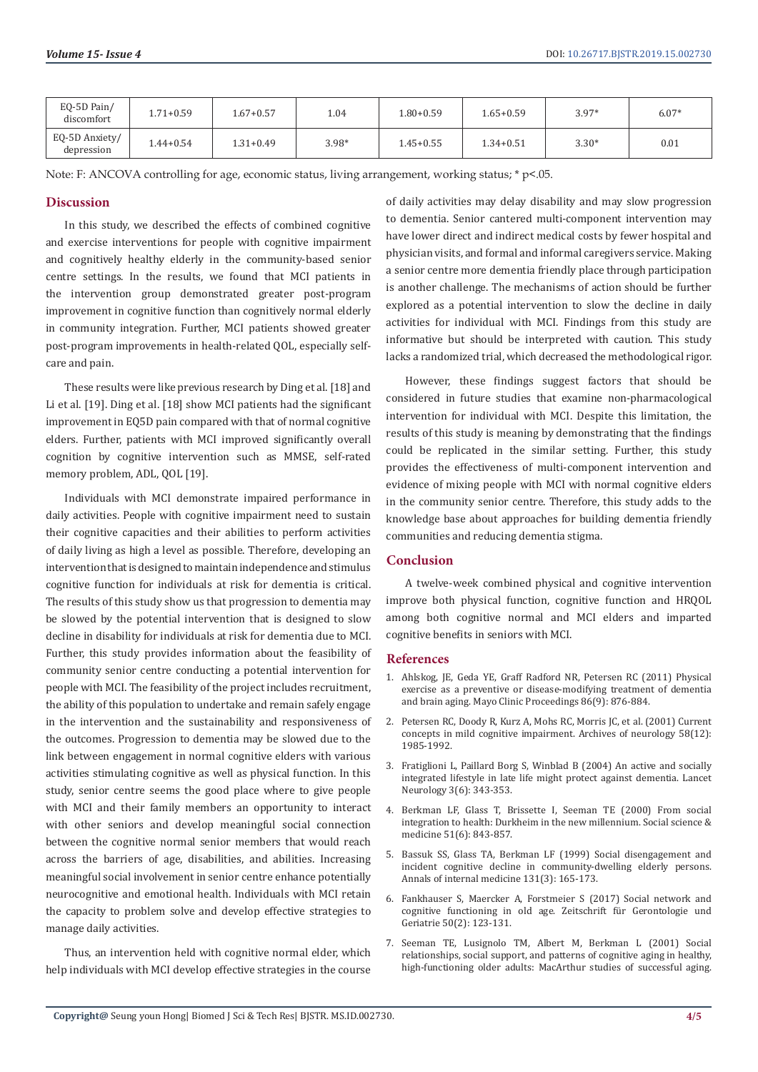| EQ-5D Pain/<br>discomfort    | $1.71 + 0.59$ | 1.67+0.57     | 1.04    | $1.80 + 0.59$ | $1.65 + 0.59$ | $3.97*$ | $6.07*$ |
|------------------------------|---------------|---------------|---------|---------------|---------------|---------|---------|
| EQ-5D Anxiety/<br>depression | $1.44 + 0.54$ | $1.31 + 0.49$ | $3.98*$ | $1.45 + 0.55$ | $1.34 + 0.51$ | $3.30*$ | 0.01    |

Note: F: ANCOVA controlling for age, economic status, living arrangement, working status; \* p<.05.

# **Discussion**

In this study, we described the effects of combined cognitive and exercise interventions for people with cognitive impairment and cognitively healthy elderly in the community-based senior centre settings. In the results, we found that MCI patients in the intervention group demonstrated greater post-program improvement in cognitive function than cognitively normal elderly in community integration. Further, MCI patients showed greater post-program improvements in health-related QOL, especially selfcare and pain.

These results were like previous research by Ding et al. [18] and Li et al. [19]. Ding et al. [18] show MCI patients had the significant improvement in EQ5D pain compared with that of normal cognitive elders. Further, patients with MCI improved significantly overall cognition by cognitive intervention such as MMSE, self-rated memory problem, ADL, QOL [19].

Individuals with MCI demonstrate impaired performance in daily activities. People with cognitive impairment need to sustain their cognitive capacities and their abilities to perform activities of daily living as high a level as possible. Therefore, developing an intervention that is designed to maintain independence and stimulus cognitive function for individuals at risk for dementia is critical. The results of this study show us that progression to dementia may be slowed by the potential intervention that is designed to slow decline in disability for individuals at risk for dementia due to MCI. Further, this study provides information about the feasibility of community senior centre conducting a potential intervention for people with MCI. The feasibility of the project includes recruitment, the ability of this population to undertake and remain safely engage in the intervention and the sustainability and responsiveness of the outcomes. Progression to dementia may be slowed due to the link between engagement in normal cognitive elders with various activities stimulating cognitive as well as physical function. In this study, senior centre seems the good place where to give people with MCI and their family members an opportunity to interact with other seniors and develop meaningful social connection between the cognitive normal senior members that would reach across the barriers of age, disabilities, and abilities. Increasing meaningful social involvement in senior centre enhance potentially neurocognitive and emotional health. Individuals with MCI retain the capacity to problem solve and develop effective strategies to manage daily activities.

Thus, an intervention held with cognitive normal elder, which help individuals with MCI develop effective strategies in the course of daily activities may delay disability and may slow progression to dementia. Senior cantered multi-component intervention may have lower direct and indirect medical costs by fewer hospital and physician visits, and formal and informal caregivers service. Making a senior centre more dementia friendly place through participation is another challenge. The mechanisms of action should be further explored as a potential intervention to slow the decline in daily activities for individual with MCI. Findings from this study are informative but should be interpreted with caution. This study lacks a randomized trial, which decreased the methodological rigor.

However, these findings suggest factors that should be considered in future studies that examine non-pharmacological intervention for individual with MCI. Despite this limitation, the results of this study is meaning by demonstrating that the findings could be replicated in the similar setting. Further, this study provides the effectiveness of multi-component intervention and evidence of mixing people with MCI with normal cognitive elders in the community senior centre. Therefore, this study adds to the knowledge base about approaches for building dementia friendly communities and reducing dementia stigma.

### **Conclusion**

A twelve-week combined physical and cognitive intervention improve both physical function, cognitive function and HRQOL among both cognitive normal and MCI elders and imparted cognitive benefits in seniors with MCI.

#### **References**

- 1. [Ahlskog, JE, Geda YE, Graff Radford NR, Petersen RC \(2011\) Physical](https://www.ncbi.nlm.nih.gov/pubmed/21878600) [exercise as a preventive or disease-modifying treatment of dementia](https://www.ncbi.nlm.nih.gov/pubmed/21878600) [and brain aging. Mayo Clinic Proceedings 86\(9\): 876-884.](https://www.ncbi.nlm.nih.gov/pubmed/21878600)
- 2. Petersen RC, Doody R, Kurz A, Mohs RC, Morris JC, et al. (2001) Current concepts in mild cognitive impairment. Archives of neurology 58(12): 1985-1992.
- 3. Fratiglioni L, Paillard Borg S, Winblad B (2004) An active and socially integrated lifestyle in late life might protect against dementia. Lancet Neurology 3(6): 343-353.
- 4. Berkman LF, Glass T, Brissette I, Seeman TE (2000) From social integration to health: Durkheim in the new millennium. Social science & medicine 51(6): 843-857.
- 5. Bassuk SS, Glass TA, Berkman LF (1999) Social disengagement and incident cognitive decline in community-dwelling elderly persons. Annals of internal medicine 131(3): 165-173.
- 6. Fankhauser S, Maercker A, Forstmeier S (2017) Social network and cognitive functioning in old age. Zeitschrift für Gerontologie und Geriatrie 50(2): 123-131.
- 7. Seeman TE, Lusignolo TM, Albert M, Berkman L (2001) Social relationships, social support, and patterns of cognitive aging in healthy, high-functioning older adults: MacArthur studies of successful aging.